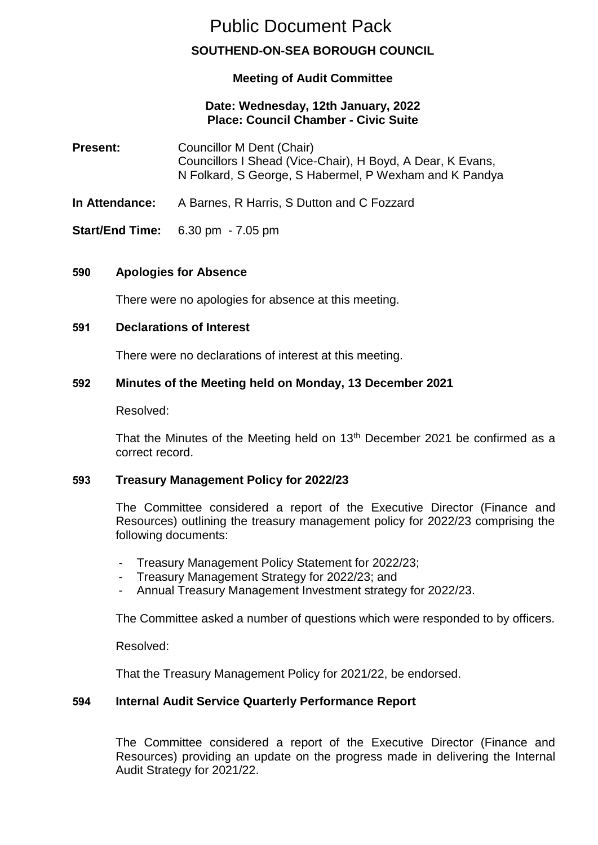# Public Document Pack

# **SOUTHEND-ON-SEA BOROUGH COUNCIL**

# **Meeting of Audit Committee**

# **Date: Wednesday, 12th January, 2022 Place: Council Chamber - Civic Suite**

- **Present:** Councillor M Dent (Chair) Councillors I Shead (Vice-Chair), H Boyd, A Dear, K Evans, N Folkard, S George, S Habermel, P Wexham and K Pandya
- **In Attendance:** A Barnes, R Harris, S Dutton and C Fozzard
- **Start/End Time:** 6.30 pm 7.05 pm

#### **590 Apologies for Absence**

There were no apologies for absence at this meeting.

#### **591 Declarations of Interest**

There were no declarations of interest at this meeting.

#### **592 Minutes of the Meeting held on Monday, 13 December 2021**

Resolved:

That the Minutes of the Meeting held on  $13<sup>th</sup>$  December 2021 be confirmed as a correct record.

# **593 Treasury Management Policy for 2022/23**

The Committee considered a report of the Executive Director (Finance and Resources) outlining the treasury management policy for 2022/23 comprising the following documents:

- Treasury Management Policy Statement for 2022/23;
- Treasury Management Strategy for 2022/23; and
- Annual Treasury Management Investment strategy for 2022/23.

The Committee asked a number of questions which were responded to by officers.

Resolved:

That the Treasury Management Policy for 2021/22, be endorsed.

# **594 Internal Audit Service Quarterly Performance Report**

The Committee considered a report of the Executive Director (Finance and Resources) providing an update on the progress made in delivering the Internal Audit Strategy for 2021/22.